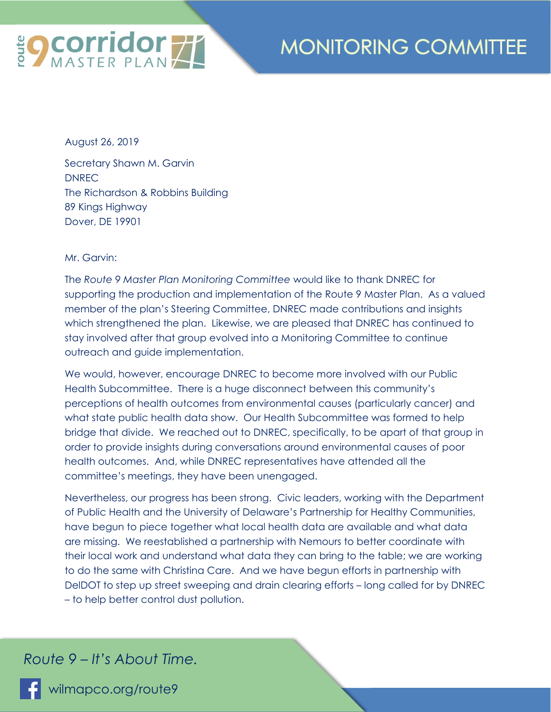

## **MONITORING COMMITTEE**

August 26, 2019

Secretary Shawn M. Garvin DNREC The Richardson & Robbins Building 89 Kings Highway Dover, DE 19901

Mr. Garvin:

The *Route 9 Master Plan Monitoring Committee* would like to thank DNREC for supporting the production and implementation of the Route 9 Master Plan. As a valued member of the plan's Steering Committee, DNREC made contributions and insights which strengthened the plan. Likewise, we are pleased that DNREC has continued to stay involved after that group evolved into a Monitoring Committee to continue outreach and guide implementation.

We would, however, encourage DNREC to become more involved with our Public Health Subcommittee. There is a huge disconnect between this community's perceptions of health outcomes from environmental causes (particularly cancer) and what state public health data show. Our Health Subcommittee was formed to help bridge that divide. We reached out to DNREC, specifically, to be apart of that group in order to provide insights during conversations around environmental causes of poor health outcomes. And, while DNREC representatives have attended all the committee's meetings, they have been unengaged.

Nevertheless, our progress has been strong. Civic leaders, working with the Department of Public Health and the University of Delaware's Partnership for Healthy Communities, have begun to piece together what local health data are available and what data are missing. We reestablished a partnership with Nemours to better coordinate with their local work and understand what data they can bring to the table; we are working to do the same with Christina Care. And we have begun efforts in partnership with DelDOT to step up street sweeping and drain clearing efforts – long called for by DNREC – to help better control dust pollution.

## *Route 9 – It's About Time.*